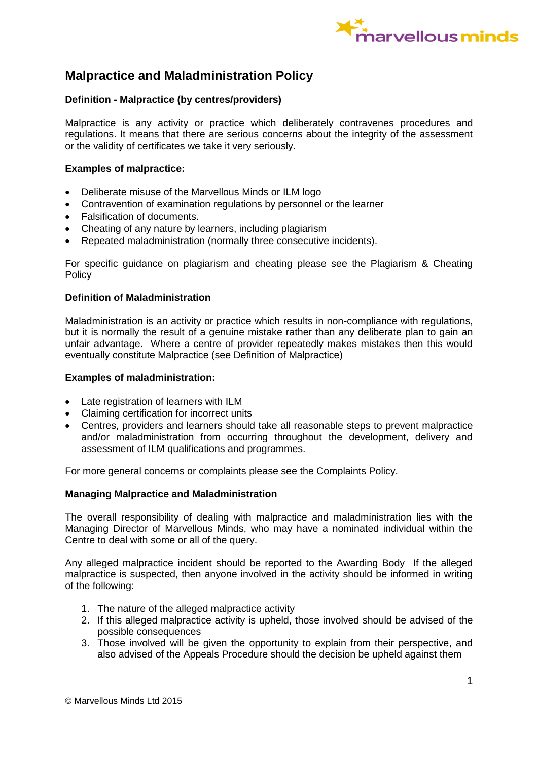

# **Malpractice and Maladministration Policy**

## **Definition - Malpractice (by centres/providers)**

Malpractice is any activity or practice which deliberately contravenes procedures and regulations. It means that there are serious concerns about the integrity of the assessment or the validity of certificates we take it very seriously.

## **Examples of malpractice:**

- Deliberate misuse of the Marvellous Minds or ILM logo
- Contravention of examination regulations by personnel or the learner
- Falsification of documents.
- Cheating of any nature by learners, including plagiarism
- Repeated maladministration (normally three consecutive incidents).

For specific guidance on plagiarism and cheating please see the Plagiarism & Cheating **Policy** 

#### **Definition of Maladministration**

Maladministration is an activity or practice which results in non-compliance with regulations, but it is normally the result of a genuine mistake rather than any deliberate plan to gain an unfair advantage. Where a centre of provider repeatedly makes mistakes then this would eventually constitute Malpractice (see Definition of Malpractice)

#### **Examples of maladministration:**

- Late registration of learners with ILM
- Claiming certification for incorrect units
- Centres, providers and learners should take all reasonable steps to prevent malpractice and/or maladministration from occurring throughout the development, delivery and assessment of ILM qualifications and programmes.

For more general concerns or complaints please see the Complaints Policy.

#### **Managing Malpractice and Maladministration**

The overall responsibility of dealing with malpractice and maladministration lies with the Managing Director of Marvellous Minds, who may have a nominated individual within the Centre to deal with some or all of the query.

Any alleged malpractice incident should be reported to the Awarding Body If the alleged malpractice is suspected, then anyone involved in the activity should be informed in writing of the following:

- 1. The nature of the alleged malpractice activity
- 2. If this alleged malpractice activity is upheld, those involved should be advised of the possible consequences
- 3. Those involved will be given the opportunity to explain from their perspective, and also advised of the Appeals Procedure should the decision be upheld against them